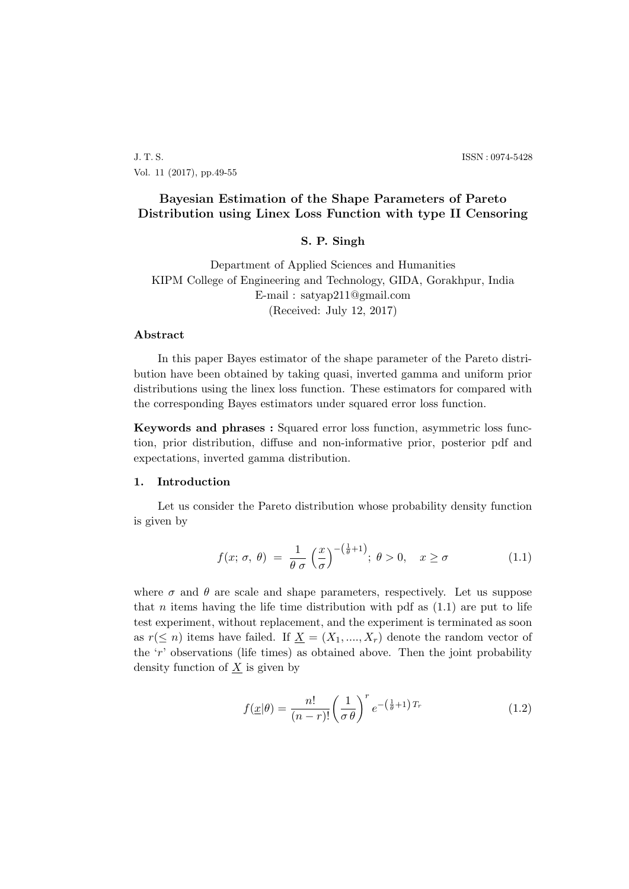J. T. S. ISSN : 0974-5428 Vol. 11 (2017), pp.49-55

# **Bayesian Estimation of the Shape Parameters of Pareto Distribution using Linex Loss Function with type II Censoring**

#### **S. P. Singh**

Department of Applied Sciences and Humanities KIPM College of Engineering and Technology, GIDA, Gorakhpur, India E-mail : satyap211@gmail.com (Received: July 12, 2017)

### **Abstract**

In this paper Bayes estimator of the shape parameter of the Pareto distribution have been obtained by taking quasi, inverted gamma and uniform prior distributions using the linex loss function. These estimators for compared with the corresponding Bayes estimators under squared error loss function.

**Keywords and phrases :** Squared error loss function, asymmetric loss function, prior distribution, diffuse and non-informative prior, posterior pdf and expectations, inverted gamma distribution.

#### **1. Introduction**

Let us consider the Pareto distribution whose probability density function is given by

$$
f(x; \sigma, \theta) = \frac{1}{\theta \sigma} \left(\frac{x}{\sigma}\right)^{-(\frac{1}{\theta}+1)}; \ \theta > 0, \quad x \ge \sigma \tag{1.1}
$$

where  $\sigma$  and  $\theta$  are scale and shape parameters, respectively. Let us suppose that *n* items having the life time distribution with pdf as  $(1.1)$  are put to life test experiment, without replacement, and the experiment is terminated as soon as  $r(\leq n)$  items have failed. If  $\underline{X} = (X_1, ..., X_r)$  denote the random vector of the '*r*' observations (life times) as obtained above. Then the joint probability density function of *X* is given by

$$
f(\underline{x}|\theta) = \frac{n!}{(n-r)!} \left(\frac{1}{\sigma \theta}\right)^r e^{-\left(\frac{1}{\theta} + 1\right)T_r} \tag{1.2}
$$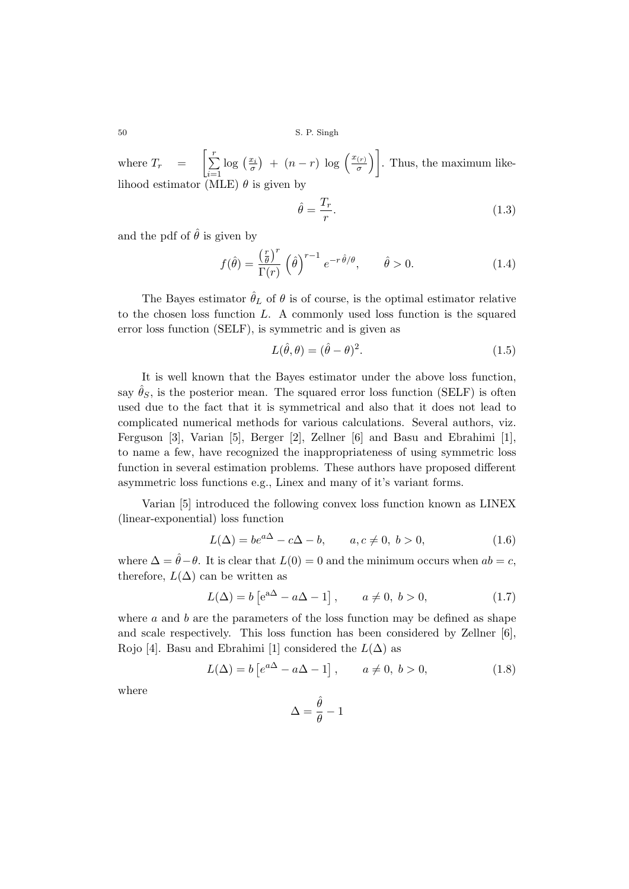50 S. P. Singh

where  $T_r = \left[\sum_{r=1}^{r}$ *i*=1  $\log\left(\frac{x_i}{\sigma}\right) + (n-r)\log\left(\frac{x_{(r)}}{\sigma}\right)$  $\left[\frac{r(r)}{\sigma}\right]$ . Thus, the maximum likelihood estimator (MLE) *θ* is given by

$$
\hat{\theta} = \frac{T_r}{r}.\tag{1.3}
$$

and the pdf of  $\hat{\theta}$  is given by

$$
f(\hat{\theta}) = \frac{\left(\frac{r}{\theta}\right)^r}{\Gamma(r)} \left(\hat{\theta}\right)^{r-1} e^{-r\hat{\theta}/\theta}, \qquad \hat{\theta} > 0.
$$
 (1.4)

The Bayes estimator  $\hat{\theta}_L$  of  $\theta$  is of course, is the optimal estimator relative to the chosen loss function *L*. A commonly used loss function is the squared error loss function (SELF), is symmetric and is given as

$$
L(\hat{\theta}, \theta) = (\hat{\theta} - \theta)^2.
$$
 (1.5)

It is well known that the Bayes estimator under the above loss function, say  $\hat{\theta}_S$ , is the posterior mean. The squared error loss function (SELF) is often used due to the fact that it is symmetrical and also that it does not lead to complicated numerical methods for various calculations. Several authors, viz. Ferguson [3], Varian [5], Berger [2], Zellner [6] and Basu and Ebrahimi [1], to name a few, have recognized the inappropriateness of using symmetric loss function in several estimation problems. These authors have proposed different asymmetric loss functions e.g., Linex and many of it's variant forms.

Varian [5] introduced the following convex loss function known as LINEX (linear-exponential) loss function

$$
L(\Delta) = be^{a\Delta} - c\Delta - b, \qquad a, c \neq 0, \ b > 0,
$$
 (1.6)

where  $\Delta = \hat{\theta} - \theta$ . It is clear that  $L(0) = 0$  and the minimum occurs when  $ab = c$ , therefore,  $L(\Delta)$  can be written as

$$
L(\Delta) = b \left[ e^{a\Delta} - a\Delta - 1 \right], \qquad a \neq 0, \ b > 0,
$$
 (1.7)

where *a* and *b* are the parameters of the loss function may be defined as shape and scale respectively. This loss function has been considered by Zellner [6], Rojo [4]. Basu and Ebrahimi [1] considered the  $L(\Delta)$  as

$$
L(\Delta) = b \left[ e^{a\Delta} - a\Delta - 1 \right], \qquad a \neq 0, \ b > 0,
$$
\n
$$
(1.8)
$$

where

$$
\Delta = \frac{\hat{\theta}}{\theta} - 1
$$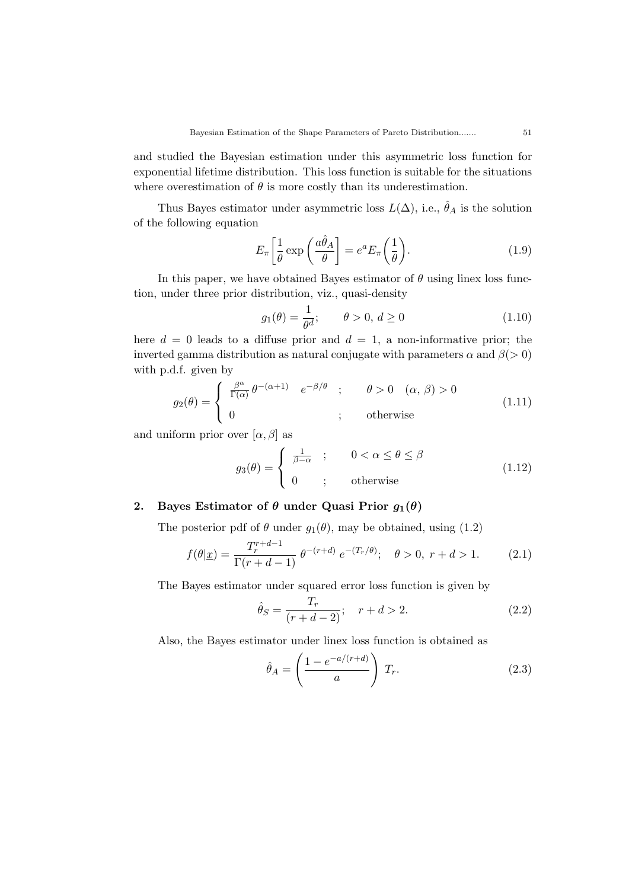and studied the Bayesian estimation under this asymmetric loss function for exponential lifetime distribution. This loss function is suitable for the situations where overestimation of  $\theta$  is more costly than its underestimation.

Thus Bayes estimator under asymmetric loss  $L(\Delta)$ , i.e.,  $\hat{\theta}_A$  is the solution of the following equation

$$
E_{\pi} \left[ \frac{1}{\theta} \exp \left( \frac{a \hat{\theta}_A}{\theta} \right) = e^a E_{\pi} \left( \frac{1}{\theta} \right). \tag{1.9}
$$

In this paper, we have obtained Bayes estimator of  $\theta$  using linex loss function, under three prior distribution, viz., quasi-density

$$
g_1(\theta) = \frac{1}{\theta^d}; \qquad \theta > 0, d \ge 0 \tag{1.10}
$$

here  $d = 0$  leads to a diffuse prior and  $d = 1$ , a non-informative prior; the inverted gamma distribution as natural conjugate with parameters  $\alpha$  and  $\beta$ ( $>$ 0) with p.d.f. given by

$$
g_2(\theta) = \begin{cases} \frac{\beta^{\alpha}}{\Gamma(\alpha)} \theta^{-(\alpha+1)} & e^{-\beta/\theta} \quad ; & \theta > 0 \quad (\alpha, \beta) > 0 \\ 0 & ; \quad \text{otherwise} \end{cases}
$$
(1.11)

and uniform prior over  $[\alpha, \beta]$  as

$$
g_3(\theta) = \begin{cases} \frac{1}{\beta - \alpha} & ; & 0 < \alpha \le \theta \le \beta \\ 0 & ; & \text{otherwise} \end{cases}
$$
 (1.12)

## **2.** Bayes Estimator of  $\theta$  under Quasi Prior  $g_1(\theta)$

The posterior pdf of  $\theta$  under  $g_1(\theta)$ , may be obtained, using (1.2)

$$
f(\theta|\underline{x}) = \frac{T_r^{r+d-1}}{\Gamma(r+d-1)} \theta^{-(r+d)} e^{-(T_r/\theta)}; \quad \theta > 0, r+d > 1.
$$
 (2.1)

The Bayes estimator under squared error loss function is given by

$$
\hat{\theta}_S = \frac{T_r}{(r+d-2)}; \quad r+d > 2. \tag{2.2}
$$

Also, the Bayes estimator under linex loss function is obtained as

$$
\hat{\theta}_A = \left(\frac{1 - e^{-a/(r+d)}}{a}\right) T_r.
$$
\n(2.3)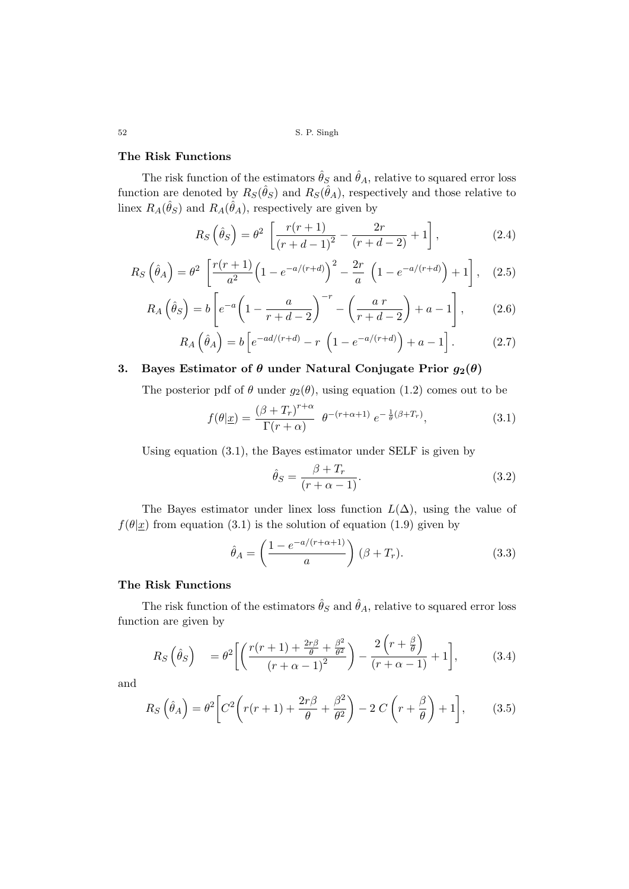52 S. P. Singh

#### **The Risk Functions**

The risk function of the estimators  $\hat{\theta}_S$  and  $\hat{\theta}_A$ , relative to squared error loss function are denoted by  $R_S(\hat{\theta}_S)$  and  $R_S(\hat{\theta}_A)$ , respectively and those relative to linex  $R_A(\hat{\theta}_S)$  and  $R_A(\hat{\theta}_A)$ , respectively are given by

$$
R_S\left(\hat{\theta}_S\right) = \theta^2 \left[ \frac{r(r+1)}{(r+d-1)^2} - \frac{2r}{(r+d-2)} + 1 \right],\tag{2.4}
$$

$$
R_S\left(\hat{\theta}_A\right) = \theta^2 \left[ \frac{r(r+1)}{a^2} \left(1 - e^{-a/(r+d)}\right)^2 - \frac{2r}{a} \left(1 - e^{-a/(r+d)}\right) + 1 \right], \quad (2.5)
$$

$$
R_A\left(\hat{\theta}_S\right) = b\left[e^{-a}\left(1 - \frac{a}{r+d-2}\right)^{-r} - \left(\frac{a r}{r+d-2}\right) + a - 1\right],\tag{2.6}
$$

$$
R_A\left(\hat{\theta}_A\right) = b\left[e^{-ad/(r+d)} - r\left(1 - e^{-a/(r+d)}\right) + a - 1\right].\tag{2.7}
$$

# **3.** Bayes Estimator of  $\theta$  under Natural Conjugate Prior  $g_2(\theta)$

The posterior pdf of  $\theta$  under  $g_2(\theta)$ , using equation (1.2) comes out to be

$$
f(\theta|\underline{x}) = \frac{(\beta + T_r)^{r+\alpha}}{\Gamma(r+\alpha)} \ \theta^{-(r+\alpha+1)} \ e^{-\frac{1}{\theta}(\beta+T_r)}, \tag{3.1}
$$

Using equation (3.1), the Bayes estimator under SELF is given by

$$
\hat{\theta}_S = \frac{\beta + T_r}{(r + \alpha - 1)}.\tag{3.2}
$$

The Bayes estimator under linex loss function  $L(\Delta)$ , using the value of  $f(\theta|\mathbf{x})$  from equation (3.1) is the solution of equation (1.9) given by

$$
\hat{\theta}_A = \left(\frac{1 - e^{-a/(r + \alpha + 1)}}{a}\right) (\beta + T_r). \tag{3.3}
$$

### **The Risk Functions**

The risk function of the estimators  $\hat{\theta}_S$  and  $\hat{\theta}_A$ , relative to squared error loss function are given by

$$
R_S\left(\hat{\theta}_S\right) = \theta^2 \left[ \left( \frac{r(r+1) + \frac{2r\beta}{\theta} + \frac{\beta^2}{\theta^2}}{(r+\alpha-1)^2} \right) - \frac{2\left(r+\frac{\beta}{\theta}\right)}{(r+\alpha-1)} + 1 \right],\tag{3.4}
$$

and

$$
R_S\left(\hat{\theta}_A\right) = \theta^2 \left[C^2 \left(r(r+1) + \frac{2r\beta}{\theta} + \frac{\beta^2}{\theta^2}\right) - 2C\left(r + \frac{\beta}{\theta}\right) + 1\right],\tag{3.5}
$$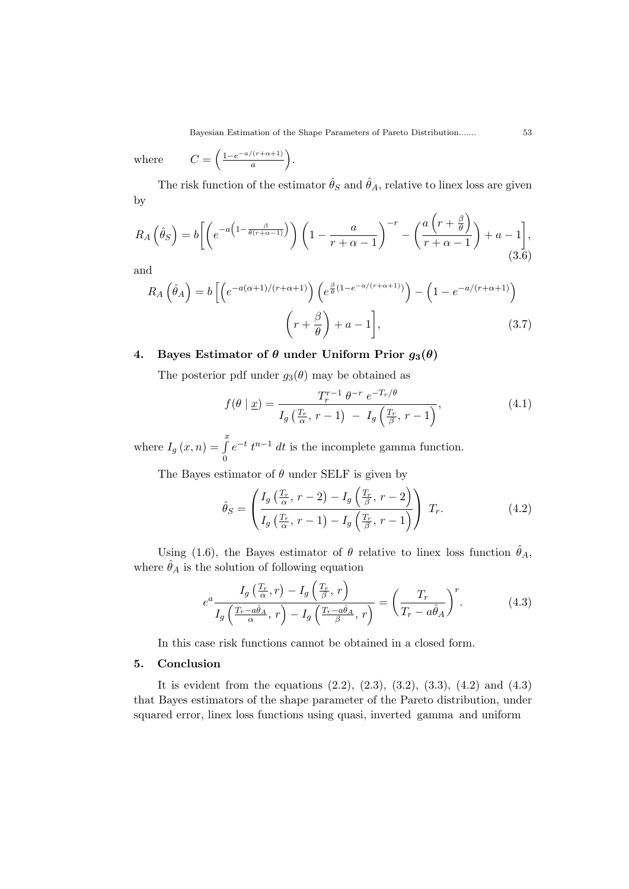Bayesian Estimation of the Shape Parameters of Pareto Distribution....... 53

where  $\left(\frac{1-e^{-a/(r+\alpha+1)}}{a}\right).$ 

The risk function of the estimator  $\hat{\theta}_S$  and  $\hat{\theta}_A$ , relative to linex loss are given by

$$
R_A\left(\hat{\theta}_S\right) = b\left[\left(e^{-a\left(1-\frac{\beta}{\theta(r+\alpha-1)}\right)}\right)\left(1-\frac{a}{r+\alpha-1}\right)^{-r} - \left(\frac{a\left(r+\frac{\beta}{\theta}\right)}{r+\alpha-1}\right) + a - 1\right],\tag{3.6}
$$

and

$$
R_A\left(\hat{\theta}_A\right) = b\left[\left(e^{-a(\alpha+1)/(r+\alpha+1)}\right)\left(e^{\frac{\beta}{\theta}(1-e^{-a/(r+\alpha+1)})}\right) - \left(1 - e^{-a/(r+\alpha+1)}\right)\right] \qquad (3.7)
$$

## **4.** Bayes Estimator of  $\theta$  under Uniform Prior  $g_3(\theta)$

The posterior pdf under  $g_3(\theta)$  may be obtained as

$$
f(\theta \mid \underline{x}) = \frac{T_r^{r-1} \theta^{-r} e^{-T_r/\theta}}{I_g\left(\frac{T_r}{\alpha}, r-1\right) - I_g\left(\frac{T_r}{\beta}, r-1\right)},\tag{4.1}
$$

where  $I_g(x, n) = \int_a^x$ 0  $e^{-t} t^{n-1} dt$  is the incomplete gamma function.

The Bayes estimator of *θ* under SELF is given by

$$
\hat{\theta}_S = \left( \frac{I_g\left(\frac{T_r}{\alpha}, \, r-2\right) - I_g\left(\frac{T_r}{\beta}, \, r-2\right)}{I_g\left(\frac{T_r}{\alpha}, \, r-1\right) - I_g\left(\frac{T_r}{\beta}, \, r-1\right)} \right) T_r. \tag{4.2}
$$

Using (1.6), the Bayes estimator of  $\theta$  relative to linex loss function  $\hat{\theta}_A$ , where  $\hat{\theta}_A$  is the solution of following equation

$$
e^{a} \frac{I_{g}\left(\frac{T_{r}}{\alpha},r\right) - I_{g}\left(\frac{T_{r}}{\beta},r\right)}{I_{g}\left(\frac{T_{r}-a\hat{\theta}_{A}}{\alpha},r\right) - I_{g}\left(\frac{T_{r}-a\hat{\theta}_{A}}{\beta},r\right)} = \left(\frac{T_{r}}{T_{r}-a\hat{\theta}_{A}}\right)^{r}.
$$
 (4.3)

In this case risk functions cannot be obtained in a closed form.

#### **5. Conclusion**

It is evident from the equations  $(2.2)$ ,  $(2.3)$ ,  $(3.2)$ ,  $(3.3)$ ,  $(4.2)$  and  $(4.3)$ that Bayes estimators of the shape parameter of the Pareto distribution, under squared error, linex loss functions using quasi, inverted gamma and uniform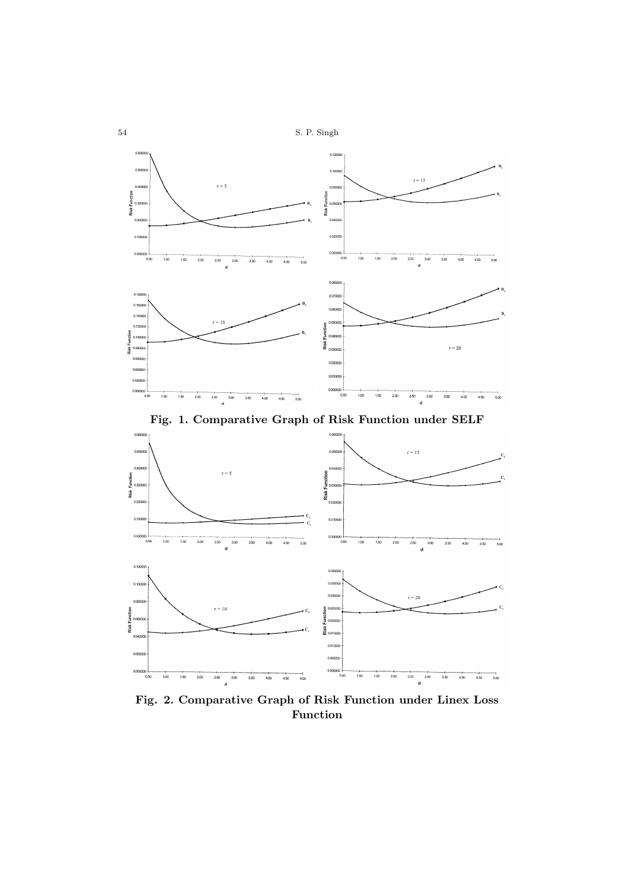54 S. P. Singh



**Fig. 1. Comparative Graph of Risk Function under SELF**



**Fig. 2. Comparative Graph of Risk Function under Linex Loss Function**